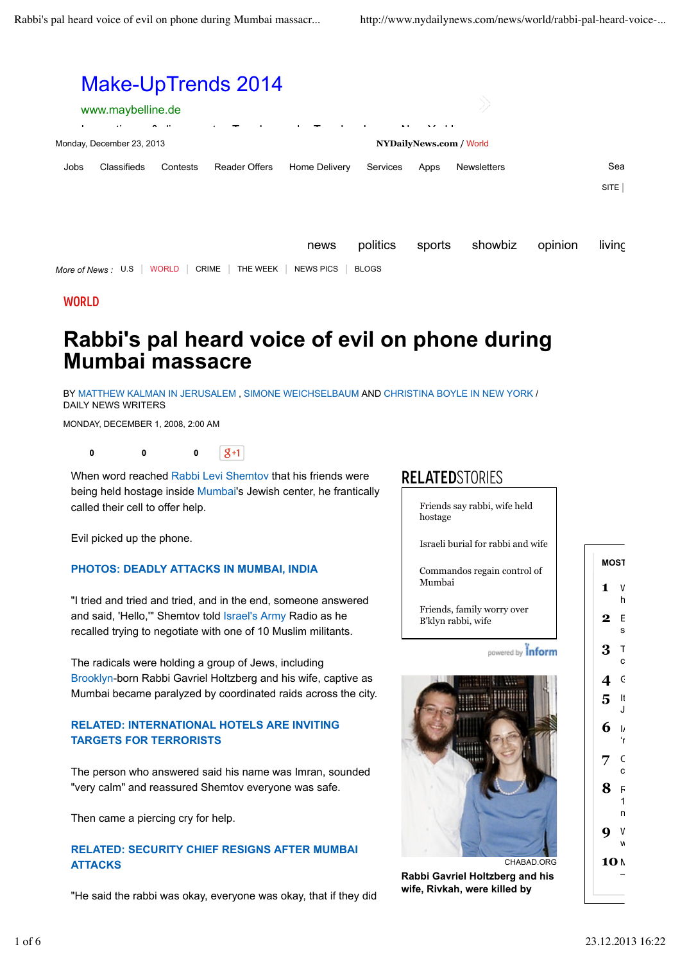

### **WORLD**

# **Rabbi's pal heard voice of evil on phone during Mumbai massacre**

BY MATTHEW KALMAN IN JERUSALEM , SIMONE WEICHSELBAUM AND CHRISTINA BOYLE IN NEW YORK / DAILY NEWS WRITERS

MONDAY, DECEMBER 1, 2008, 2:00 AM

 $|g_{+1}|$ **0 0 0**

When word reached Rabbi Levi Shemtov that his friends were being held hostage inside Mumbai's Jewish center, he frantically called their cell to offer help.

Evil picked up the phone.

#### **PHOTOS: DEADLY ATTACKS IN MUMBAI, INDIA**

"I tried and tried and tried, and in the end, someone answered and said, 'Hello,'" Shemtov told Israel's Army Radio as he recalled trying to negotiate with one of 10 Muslim militants.

## **RELATED** STORIES

Friends say rabbi, wife held hostage

Israeli burial for rabbi and wife

Commandos regain control of Mumbai

Friends, family worry over B'klyn rabbi, wife

powered by Inform



### **RELATED: INTERNATIONAL HOTELS ARE INVITING TARGETS FOR TERRORISTS**

The person who answered said his name was Imran, sounded "very calm" and reassured Shemtov everyone was safe.

Then came a piercing cry for help.

#### **RELATED: SECURITY CHIEF RESIGNS AFTER MUMBAI ATTACKS**

"He said the rabbi was okay, everyone was okay, that if they did



**Rabbi Gavriel Holtzberg and his wife, Rivkah, were killed by**